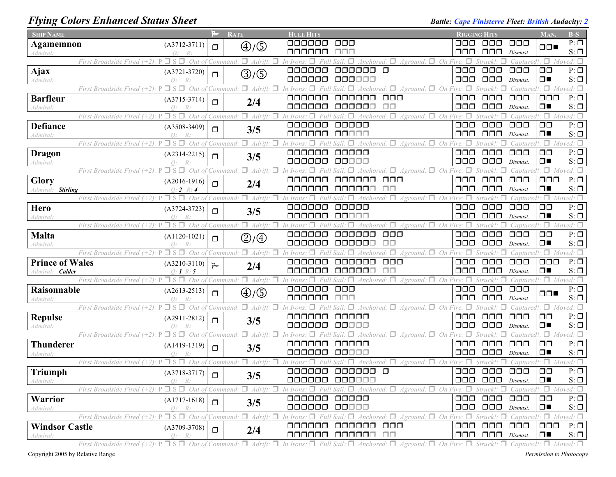## *Flying Colors Enhanced Status Sheet Battle: Cape Finisterre Fleet: British Audacity: 2**Battle: Cape Finisterre Fleet: British Audacity: 2*

| <b>SHIP NAME</b>            |                                                                                                                                                                                                                       |                | <b>RATE</b>                          | <b>HULL HITS</b>            |                                                                                                                                     | <b>RIGGING HITS</b>            |                                                                |                                | MAN.                              | $B-S$                                              |
|-----------------------------|-----------------------------------------------------------------------------------------------------------------------------------------------------------------------------------------------------------------------|----------------|--------------------------------------|-----------------------------|-------------------------------------------------------------------------------------------------------------------------------------|--------------------------------|----------------------------------------------------------------|--------------------------------|-----------------------------------|----------------------------------------------------|
| <b>Agamemnon</b>            | $(A3712-3711)$                                                                                                                                                                                                        | $\Box$         | $\textcircled{4}/\textcircled{5}$    | 000000                      | $\Box$ $\Box$                                                                                                                       | ooo                            | 000                                                            | $\Box$ $\Box$                  | $\Box$                            | $P: \Box$                                          |
| Admiral:                    | $\Omega$ :                                                                                                                                                                                                            |                |                                      | 000000                      | ooo                                                                                                                                 | □□□                            | 000                                                            | Dismast.                       |                                   | $S: \Box$                                          |
|                             | Out<br>First Broadside Fired (+2)                                                                                                                                                                                     |                | $\Box$<br>Adrift.<br>Command:        | 000000                      | On Fire:<br>Aground:<br>$\Box$                                                                                                      |                                |                                                                | Captured!                      |                                   | $\Box$ Moved: $\Box$<br>$P: \overline{\mathbb{Z}}$ |
| <b>Ajax</b>                 | $(A3721-3720)$<br>$\bigcap$ :                                                                                                                                                                                         | $\Box$         | $\textcircled{3}/\textcircled{5}$    | 000000                      | oooooo<br>000000                                                                                                                    | $\Box$ $\Box$<br>$\Box$ $\Box$ | $\Box$ $\Box$<br>$\Box$ $\Box$                                 | $\Box$ $\Box$<br>Dismast.      | $\Box$ $\Box$<br>$\Box$           | $S: \Box$                                          |
| Admiral.                    | П.<br>$\Box$<br>Out of<br>First Broadside Fired (+2)                                                                                                                                                                  |                | $\Box$ Adrift.<br>Command:           |                             | $A$ ground: $\Box$ On Fire: $\Box$<br>$\Box$                                                                                        |                                |                                                                | Captured!                      | $\Box$ Moved: $\Box$              |                                                    |
| <b>Barfleur</b>             | $(A3715-3714)$                                                                                                                                                                                                        |                |                                      | 000000                      | $\Box$ $\Box$<br>aaaaaa                                                                                                             | $\Box$ $\Box$                  | $\Box$ $\Box$                                                  | $\Box$ $\Box$ $\Box$           | $\Box$ $\Box$                     | $P: \Box$                                          |
| Admiral:                    | $O$ :<br>R:                                                                                                                                                                                                           | $\Box$         | 2/4                                  | 000000                      | 000000<br>$\Box$ Box                                                                                                                | 000                            | $\Box$ $\Box$                                                  | Dismast.                       | $\Box$                            | $S: \Box$                                          |
|                             | $S \Box$<br>Out of<br>First Broadside Fired (+2)                                                                                                                                                                      |                | $\Box$ Adrift.<br>'Command.          |                             | Aground: $\square$<br>On<br>Anchored:                                                                                               |                                |                                                                | Captured.                      | $\Box$ Moved: $\Box$              |                                                    |
| <b>Defiance</b>             | $(A3508-3409)$                                                                                                                                                                                                        | $\Box$         | 3/5                                  | 000000                      | 00000                                                                                                                               | $\Box$ $\Box$                  | $\Box$ Box                                                     | $\Box$ $\Box$ $\Box$           | $\Box$ $\Box$                     | $P: \Box$                                          |
| Admiral:                    | $Q$ :<br>R:                                                                                                                                                                                                           |                |                                      | 000000                      | 00000                                                                                                                               | 000                            | $\Box \Box \Box$                                               | Dismast.                       | $\Box$                            | $S: \Box$                                          |
|                             | $\Box$ S $\Box$<br>Out of<br>First Broadside Fired $(+2)$                                                                                                                                                             |                | $\Box$ Adrift<br>Command:            |                             | On<br>Aground:<br>Anchored.                                                                                                         |                                |                                                                | Captured.                      | $\Box$ Moved: $\Box$              |                                                    |
| <b>Dragon</b>               | $(A2314-2215)$                                                                                                                                                                                                        | $\Box$         | 3/5                                  | 000000                      | 00000                                                                                                                               | $\Box$ $\Box$                  | $\Box$ $\Box$                                                  | $\Box$ $\Box$                  | $\Box$ $\Box$                     | $P: \Box$                                          |
| Admiral:                    | $\Omega$ :<br>$\Box$ S $\Box$ Out of<br>First Broadside Fired $(+2)$ : P                                                                                                                                              |                | Command: $\Box$ Adrift:              | 000000                      | 00000<br>$A$ ground: $\Box$<br>On<br>4nchored: $\Box$                                                                               | 000                            | $\Box \Box \Box$<br>Struck! <sub>`</sub>                       | Dismast.                       | $\Box$<br>$\Box$ M                | $S: \Box$<br>ved: $\Box$                           |
| Glory                       |                                                                                                                                                                                                                       |                |                                      | 000000                      | $\Box$ $\Box$<br>ooooo                                                                                                              | $\Box$ $\Box$                  | $\Box\Box\Box$                                                 | Capturec<br>$\Box$ $\Box$      | $\Box$ $\Box$                     | $P: \Box$                                          |
| <b>Stirling</b><br>Admiral: | $(A2016-1916)$<br>$0: 2 \; R: 4$                                                                                                                                                                                      | $\Box$         | 2/4                                  | 000000                      | $\Box$ $\Box$<br>000000                                                                                                             | $\Box \Box \Box$               | $\Box$ $\Box$ $\Box$                                           | Dismast.                       | $\Box$                            | $S: \Box$                                          |
|                             | Out of<br>First Broadside Fired (+2)                                                                                                                                                                                  |                | π.<br>Adrift<br>Command.             |                             | $Aground:$ $\Box$ On<br>Anchored:                                                                                                   |                                |                                                                | Captured                       | $\Box$                            | Moved: $\Box$                                      |
| Hero                        | $(A3724-3723)$                                                                                                                                                                                                        |                |                                      | 000000                      | 00000                                                                                                                               | $\Box \Box \Box$               | $\Box$ $\Box$                                                  | $\Box$ $\Box$                  | $\Box$ $\Box$                     | $P: \Box$                                          |
| Admiral.                    |                                                                                                                                                                                                                       | $\Box$         | 3/5                                  | 000000                      | 00000                                                                                                                               | $\Box$ $\Box$                  | $\Box$ $\Box$ $\Box$                                           | Dismast                        | $\Box$                            | $S: \Box$                                          |
|                             | Out of<br>First Broadside Fired (+2).                                                                                                                                                                                 |                | $\Box$ Adrift.<br>Command:           |                             | $\Box$<br>On Fire:<br>Aground:                                                                                                      |                                | Struck!:                                                       | Captured!                      | $\Box$                            | Moved: $\Box$                                      |
| Malta                       | $(A1120-1021)$                                                                                                                                                                                                        | $\Box$         | $\textcircled{2}/\textcircled{4}$    | 000000                      | $\Box \Box \Box$<br>ooooo                                                                                                           | $\Box$ $\Box$                  | $\Box$ $\Box$                                                  | $\Box$ $\Box$                  | $\Box$ $\Box$                     | $P: \Box$                                          |
| Admiral:                    |                                                                                                                                                                                                                       |                |                                      | 000000                      | ⊓⊓<br>oooooo                                                                                                                        | $\Box \Box \Box$               | $\Box$ $\Box$                                                  | Dismast.                       | $\Box$                            | $S: \Box$                                          |
|                             | First Broadside Fired $(+2)$ : P $\Box$<br>Out of                                                                                                                                                                     |                | $Command: \Box$<br>Adrift:<br>п      |                             | $A$ ground: $\Box$ On Fire:                                                                                                         |                                |                                                                | Captured!                      |                                   | $\Box$ Moved: $\Box$<br>$P: \Box$                  |
| <b>Prince of Wales</b>      | $(A3210-3110)$                                                                                                                                                                                                        | $\mathbb{R}$   | 2/4                                  | 000000<br>ooooo             | $\Box \Box \Box$<br>ooooo<br>$\Box$ $\Box$<br>000000                                                                                | $\Box$ $\Box$<br>$\Box$ $\Box$ | $\Box$ $\Box$<br>$\Box$ $\Box$ $\Box$                          | $\Box$ $\Box$<br>Dismast.      | $\Box$ $\Box$<br>$\Box$           | $S: \Box$                                          |
| Calder<br>Admiral:          | $0:1 \; R:5$<br>$P \Box S \Box$<br>Out of<br>First Broadside Fired (+2).                                                                                                                                              |                | $\Box$ Adrift.<br>Command:           |                             | $\forall$ Anchored: $\Box$<br>$Aground:$ $\Box$ On Fire: $\Box$<br>п                                                                |                                | Struck!:<br>$\Box$                                             | Captured!                      | $\Box$ Moved: $\Box$              |                                                    |
| Raisonnable                 | $(A2613-2513)$                                                                                                                                                                                                        |                |                                      | 000000                      | $\Box$ $\Box$                                                                                                                       | $\Box$ $\Box$                  | $\Box$ $\Box$                                                  | $\Box$ $\Box$ $\Box$           |                                   | $P: \Box$                                          |
| Admiral:                    | $\bigcap$ :                                                                                                                                                                                                           | $\Box$         | $\textcircled{4}/\textcircled{5}$    | 000000                      | $\Box \Box \Box$                                                                                                                    | $\Box$ $\Box$                  | $\Box$ $\Box$ $\Box$                                           | Dismast.                       | $\Box \Box$                       | $S: \Box$                                          |
|                             | $\cdot P \Box S \Box$<br>Out of<br>First Broadside Fired (+2):                                                                                                                                                        |                | Command: $\Box$ Adrift:<br>П         | □                           | $Aground:$ $\Box$ On Fire: $\Box$<br>Anchored: $\Box$                                                                               |                                | Struck!:                                                       | Captured!                      | $\Box$ Moved: $\Box$              |                                                    |
| <b>Repulse</b>              | $(A2911-2812)$                                                                                                                                                                                                        | $\Box$         | 3/5                                  | 000000                      | 00000                                                                                                                               | $\Box$ $\Box$                  | $\Box$ $\Box$                                                  | $\Box$ $\Box$                  | $\Box$ $\Box$                     | $P: \Box$                                          |
| Admiral:                    | Q:                                                                                                                                                                                                                    |                |                                      | 000000                      | 88888                                                                                                                               | $\Box \Box \Box$               | $\Box$ $\Box$                                                  | Dismast                        | $\Box$                            | $S: \Box$                                          |
|                             | $\Box$ S $\Box$<br>First Broadside Fired $(+2)$ :<br>Out of                                                                                                                                                           |                | Command: $\Box$ Adrift:<br>п         |                             | $A$ ground: $\Box$ On<br>Anchored: $\Box$                                                                                           |                                | Struck!:                                                       | Captured.                      | $\Box$ Moved: $\Box$              |                                                    |
| <b>Thunderer</b>            | $(A1419-1319)$                                                                                                                                                                                                        | $\Box$         | 3/5                                  | 000000                      | 00000<br>00000                                                                                                                      | $\Box$ $\Box$                  | $\Box$ $\Box$<br>$\Box$ $\Box$ $\Box$                          | $\Box$ $\Box$                  | $\Box$ $\Box$<br>$\Box$           | $P: \Box$                                          |
| Admiral:                    | Q:<br>R:<br>First Broadside Fired $(+2)$ :<br>Out of                                                                                                                                                                  |                | $Command: \Box$<br>$Adritt$ : $\Box$ | 000000                      | $A$ ground: $\Box$<br>On Fire:                                                                                                      | $\Box$ $\Box$                  | Struck! <sup>.</sup>                                           | Dismast.                       | $\Box$ Moved: $\Box$              | $S: \Box$                                          |
| <b>Triumph</b>              |                                                                                                                                                                                                                       |                |                                      | 000000                      | $\Box$<br>000000                                                                                                                    | $\Box$ $\Box$                  | $\Box$ $\Box$                                                  | Captur<br>$\Box$ $\Box$ $\Box$ | $\Box$ $\Box$                     | $P: \Box$                                          |
| Admiral:                    | $(A3718-3717)$<br>0:<br>R:                                                                                                                                                                                            | $\blacksquare$ | 3/5                                  |                             | 000000 000000                                                                                                                       |                                | $\Box$ $\Box$ $\Box$ $\Box$ $\Box$ $\Box$ $\Box$ $\Box$ $\Box$ |                                | □■                                | $S: \Box$                                          |
|                             | First Broadside Fired $(+2)$ : P $\Box$ S $\Box$ Out of Command: $\Box$ Adrift: $\Box$                                                                                                                                |                |                                      |                             | In Irons: $\Box$ Full Sail: $\Box$ Anchored: $\Box$ Aground: $\Box$ On Fire: $\Box$ Struck!: $\Box$ Captured!: $\Box$ Moved: $\Box$ |                                |                                                                |                                |                                   |                                                    |
| <b>Warrior</b>              | $(A1717-1618)$                                                                                                                                                                                                        | $\Box$         |                                      | 000000                      | 00000                                                                                                                               |                                | 000 000                                                        | $\Box$ $\Box$                  | $\Box$ $\Box$                     | $P: \Box$                                          |
| Admiral:                    | Q: R:                                                                                                                                                                                                                 |                | 3/5                                  | 000000                      | 00000                                                                                                                               |                                | $\Box$ $\Box$ $\Box$ $\Box$ $Dismast$ .                        |                                | $\Box$                            | $S: \Box$                                          |
|                             | $\Box$ S $\Box$<br>Out of<br>First Broadside Fired (+2):                                                                                                                                                              |                | $\Box$ Adrift:<br>Command.<br>п      | In Irons: $\Box$ Full Sail: | Anchored: $\Box$<br>$\Box$<br><i>Aground:</i>                                                                                       | $\Box$ On Fire: $\Box$         | $Struck!$ : $\Box$                                             |                                | $Captured$ : $\Box$ Moved: $\Box$ |                                                    |
| <b>Windsor Castle</b>       | $(A3709-3708)$                                                                                                                                                                                                        | $\Box$         | 2/4                                  | 000000                      | 000000 000                                                                                                                          |                                | 000 000                                                        | $\Box$ $\Box$                  | 000-                              | $P: \Box$                                          |
| Admiral:                    | $Q$ :<br>R:                                                                                                                                                                                                           |                |                                      |                             | 000000 000000 00                                                                                                                    |                                | $\Box$ $\Box$ $\Box$ $\Box$ $Dismast$ .                        |                                | $\Box$                            | $S: \Box$                                          |
|                             | First Broadside Fired (+2): $P \Box S \Box$ Out of Command: $\Box$ Adrift: $\Box$ In Irons: $\Box$ Full Sail: $\Box$ Anchored: $\Box$ Aground: $\Box$ On Fire: $\Box$ Struck!: $\Box$ Captured!: $\Box$ Moved: $\Box$ |                |                                      |                             |                                                                                                                                     |                                |                                                                |                                |                                   |                                                    |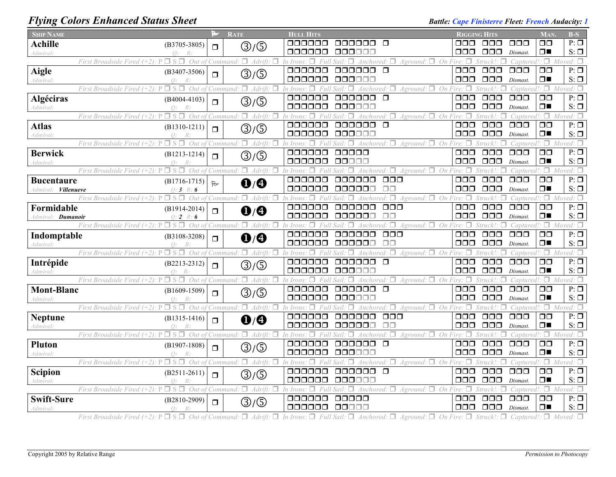## *Flying Colors Enhanced Status Sheet* **Battle:** *Cape Finisterre Fleet: French Audacity: 1*

| <b>SHIP NAME</b>           |                                                                                    | M            | <b>RATE</b>                           | <b>HULL HITS</b>    |                                          |                                        | <b>RIGGING HITS</b>        |                                      |                                   | MAN.                            | $B-S$                           |
|----------------------------|------------------------------------------------------------------------------------|--------------|---------------------------------------|---------------------|------------------------------------------|----------------------------------------|----------------------------|--------------------------------------|-----------------------------------|---------------------------------|---------------------------------|
| <b>Achille</b>             | $(B3705 - 3805)$                                                                   | $\Box$       | $\textcircled{3}/\textcircled{5}$     | oooooo              | 888888 B                                 |                                        | ⊓⊓⊓                        | ooo                                  | 000                               | $\Box$ $\Box$                   | $P: \Box$                       |
| Admiral:                   | $\bigcap$ .                                                                        |              |                                       | 000000              | 000000                                   |                                        | OOO                        | $\Box$ Box                           | Dismast.                          | $\Box$                          | $S: \Box$                       |
|                            | $\Box$ S $\Box$<br>Out of<br>First Broadside Fired $(+2)$ :                        |              | $\Box$ Adrift:<br>Command.            | n Irons             | Anchored:                                | $Aground: \Box On$                     | Fire: $\Box$               |                                      | Captured                          | $\Box$                          | oved: $\Box$                    |
| <b>Aigle</b>               | $(B3407 - 3506)$<br>$\Omega$ :<br>R                                                | $\Box$       | ③/⑤                                   | 000000<br>000000    | $\Box$<br>000000<br>000000               |                                        | 000<br>$\Box$ $\Box$       | $\Box$ $\Box$<br>000                 | $\Box$ $\Box$ $\Box$<br>Dismast.  | $\Box$ $\Box$<br>$\Box$         | $P: \Box$<br>$S: \Box$          |
| Admiral:                   | $\square$ s $\square$<br>First Broadside Fired $(+2)$ : P                          |              | Out of Command: $\Box$ Adrift: $\Box$ | $\Box$<br>In Irons: | Full Sail<br>$\Box$<br>Anchored: $\Box$  | Aground: $\Box$ On Fire: $\Box$        |                            | Struck!:<br>□                        |                                   | Captured!: $\Box$ Moved: $\Box$ |                                 |
| Algéciras                  | $(B4004 - 4103)$                                                                   |              |                                       | 000000              | $\Box$<br>000000                         |                                        | $\Box \Box \overline \Box$ | $\Box \Box \Box$                     | $\Box \Box \Box$                  | $\Box$ $\Box$                   | $P: \Box$                       |
| <i><b>Admiral:</b></i>     | $\bigcap$ :                                                                        | $\Box$       | ③/⑤                                   | 000000              | 000000                                   |                                        | 000                        | $\Box$ $\Box$                        | Dismast.                          | $\Box$                          | $S: \Box$                       |
|                            | $\Box$ S $\Box$<br>Out of<br>First Broadside Fired (+2).                           |              | $\Box$ Adrift:<br>□<br>Command:       | In Irons.           |                                          | $Aground: \Box On$                     |                            |                                      | Captured!                         | $\Box$                          | Moved: $\Box$                   |
| <b>Atlas</b>               | $(B1310-1211)$                                                                     | $\Box$       | $\textcircled{3}/\textcircled{5}$     | 000000              | 000000<br>$\Box$                         |                                        | $\Box$ $\Box$              | $\Box$ $\Box$                        | $\Box$ $\Box$                     | $\Box$ $\Box$                   | $P: \Box$                       |
| Admiral:                   | $Q$ :<br>$R$ :                                                                     |              |                                       | anana               | 000000                                   |                                        | ⊓⊓⊓                        | $\Box$ $\Box$                        | Dismast.                          | $\Box$                          | $S: \Box$                       |
|                            | $\Box$ S $\Box$ Out of<br>First Broadside Fired $(+2)$ : P                         |              | $\Box$ Adrift:<br>П<br>Command:       | In Iron             | Anchored: $\Box$<br>п                    | $Aground: \Box$ On Fire: $\Box$        |                            | Struck!                              | Captured.                         | 1⊟.                             | $Moved: \Box$                   |
| <b>Berwick</b>             | $(B1213 - 1214)$                                                                   | $\Box$       | ③/⑤                                   | 000000<br>000000    | 00000<br>00000                           |                                        | $\Box\Box\Box$<br>000      | $\Box \Box \Box$<br>$\Box \Box \Box$ | $\Box \Box \Box$                  | $\Box$<br>$\Box$                | $P: \Box$<br>$S: \Box$          |
| Admiral:                   | $\Omega$ :<br>$\square$ s $\square$<br>Out of<br>First Broadside Fired $(+2)$ : P  |              | Command: $\Box$ Adrift: $\Box$        | In Irons<br>п       | П<br>Anchored:<br>Sail                   | $\Box$ Aground: $\Box$ On Fire: $\Box$ |                            | Struck!                              | Dismast.<br>Captured.             |                                 | $\Box$ Moved: $\Box$            |
| <b>Bucentaure</b>          | $(B1716-1715)$                                                                     |              |                                       | oooooo              | ooooo                                    | $\Box \Box \Box$                       | 000                        | $\Box \Box \Box$                     | $\Box$ $\Box$                     | $\Box$ $\Box$                   | $P: \Box$                       |
| Admiral: <b>Villenueve</b> | $0:3 \; R:6$                                                                       | $\mathbb{R}$ | $\mathbf{0}/\mathbf{0}$               | 000000              | 000000                                   | $\Box$ $\Box$                          | 000                        | $\Box$ $\Box$                        | Dismast.                          | $\Box$                          | $S: \Box$                       |
|                            | Out of<br>First Broadside Fired (+2):                                              |              | Command: $\Box$ Adrift: $\Box$        | $\Box$<br>In Irons: | $\forall$ Anchored: $\Box$               | $Aground:$ $\Box$ On Fire:             | $\Box$                     |                                      | Captured!: $\Box$                 |                                 | Moved: $\Box$                   |
| Formidable                 | $(B1914-2014)$                                                                     | $\Box$       | $\mathbf{0}/\mathbf{0}$               | 000000              | 000000                                   | $\Box \Box \Box$                       | $\Box$ $\Box$              | $\Box\Box\Box$                       | $\Box$ $\Box$                     | $\Box$ $\Box$                   | $P: \Box$                       |
| Admiral: <b>Dumanoir</b>   | $Q: 2 \mathbb{R}$<br>6                                                             |              |                                       | 000000              | 000000                                   | ПП                                     | 000                        | $\Box$ $\Box$                        | Dismast.                          | $\Box$                          | $S: \Box$                       |
|                            | $\Box$ S $\Box$ Out of Command: $\Box$ Adrift:<br>First Broadside Fired $(+2)$ : P |              | п                                     | п<br>In Irons       |                                          | $\Box$<br>$A$ ground: $\Box$ On Fire:  | □                          | Struck!:                             | Captured!                         | $\Box$                          | Moved: $\square$                |
| Indomptable                | $(B3108 - 3208)$                                                                   | $\Box$       | $\mathbf{0}/\mathbf{0}$               | 000000              | 000000                                   | $\Box \Box \Box$                       | $\Box$ $\Box$              | $\Box\Box\Box$                       | $\Box$ $\Box$                     | $\Box$ $\Box$                   | $P: \Box$                       |
| Admiral:                   | Q:                                                                                 |              |                                       | 000000              | 000000                                   | $\Box$ $\Box$                          | $\Box$ $\Box$              | $\Box$ $\Box$ $\Box$                 | Dismast.                          | ⊓∎                              | $S: \Box$                       |
|                            | First Broadside Fired $(+2)$ : P<br>$\Box$ $S$ $\Box$<br>Out of                    |              | $\Box$ Adrift:<br>Command:            | 000000              | 000000<br>$\Box$                         | $\Box$<br>$A$ ground: $\Box$ On Fire:  | 000                        | Struck!<br>$\Box$ $\Box$             | Captured.<br>000                  | $\Box$<br>$\Box$                | $Moved \cdot \Box$<br>$P: \Box$ |
| Intrépide<br>Admiral:      | $(B2213 - 2312)$<br>$\bigcap$ :<br>R                                               | $\Box$       | ③/⑤                                   | ooooo               | 00000C                                   |                                        | 000                        | $\Box$ $\Box$                        | Dismast.                          | $\Box$                          | $S: \Box$                       |
|                            | $\square$ s $\square$<br>First Broadside Fired $(+2)$ .                            |              | Out of Command: $\Box$ Adrift: $\Box$ | п<br>In Irons:      | Anchored: $\square$<br>П<br>Sail:        | Aground: $\Box$ On Fire: $\Box$        |                            | Struck!:<br>п                        | $Caottured$ : $\Box$              |                                 | $Moved: \Box$                   |
| <b>Mont-Blanc</b>          | $(B1609-1509)$                                                                     | $\Box$       | $\textcircled{3}/\textcircled{5}$     | 000000              | 000000<br>$\Box$                         |                                        | $\Box$ $\Box$              | $\Box \Box \Box$                     | $\Box$ $\Box$ $\Box$              | $\Box$ $\Box$                   | $P: \Box$                       |
| Admiral:                   | $\Omega$ :                                                                         |              |                                       | 000000              | 00000C                                   |                                        | 000                        | $\Box$ $\Box$ $\Box$                 | Dismast.                          | $\Box$                          | $S: \Box$                       |
|                            | Out of<br>First Broadside Fired $(+2)$ : P<br>$\Box$ S $\Box$                      |              | $\Box$ Adrift:<br>$\Box$<br>Command:  | In Irons            | $\forall$ Anchored: $\Box$               | $A$ ground: $\Box$ On                  | Π                          | Struck!:                             | Captured!                         | $\Box$                          | Moved: $\square$                |
| <b>Neptune</b>             | $(B1315-1416)$                                                                     | $\Box$       | $\mathbf{0}/\mathbf{0}$               | 000000              | 000000                                   | $\Box$ $\Box$                          | 000                        | $\Box$ $\Box$                        | $\Box$ $\Box$                     | $\Box$ $\Box$                   | $P: \Box$                       |
| Admiral:                   | $\bigcap$ .                                                                        |              |                                       | 000000              | 00000                                    | $\Box$ Box                             | 000<br>п                   | $\Box$ $\Box$ $\Box$                 | Dismast.                          | $\Box$                          | $S: \Box$                       |
|                            | $\Box$ S $\Box$ Out of<br>First Broadside Fired $(+2)$ : P                         |              | $\Box$ Adrift:<br>п<br>Command:       | In Irons<br>000000  | $\Box$<br>000000                         | $\Box$ Aground: $\Box$ On Fire:        | 000                        | $\Box$ $\Box$                        | Captured.<br>$\Box$ $\Box$ $\Box$ | $\Box$<br>$\square$             | Moved: $\square$<br>$P: \Box$   |
| Pluton<br>Admiral:         | $(B1907-1808)$<br>Q:<br>R:                                                         | $\Box$       | ③/⑤                                   | 000000              | 000000                                   |                                        | 000                        | $\Box$ $\Box$ $\Box$                 | Dismast.                          | $\Box$                          | $S: \Box$                       |
|                            | $\square$ s $\square$<br>First Broadside Fired $(+2)$ : P                          |              | Out of Command: $\Box$ Adrift: $\Box$ | In Irons:<br>п      | $\Box$<br>Anchored: $\Box$<br>Full Sail. | $Aground:$ $\Box$ On Fire: $\Box$      |                            | Struck'<br>п                         |                                   | Captured!: $\Box$ Moved: $\Box$ |                                 |
| Scipion                    | $(B2511-2611)$                                                                     |              |                                       | 000000              | 000000<br>$\Box$                         |                                        | $\Box$ $\Box$              | $\Box$ $\Box$                        | $\Box$ $\Box$ $\Box$              | $\Box$ $\Box$                   | $P: \Box$                       |
| Admiral:                   | $\bigcap$ .<br>R                                                                   | $\Box$       | ③/⑤                                   | 000000              | 00000C                                   |                                        | □□□                        | $\Box$ $\Box$                        | Dismast.                          | $\Box$                          | $S: \Box$                       |
|                            | □ S □<br>Out of<br>First Broadside Fired (+2).                                     |              | $\Box$ Adrift:<br>Command:            |                     | Anchored:                                | On<br>Aground:                         |                            | Struck!                              | Cantured!                         | п.                              | ≀ed: □                          |
| <b>Swift-Sure</b>          | $(B2810-2909)$                                                                     | $\Box$       | ③/⑤                                   | 000000              | 00000                                    |                                        | ooo                        | OOO                                  | 000                               | $\Box$ $\Box$                   | $P: \Box$                       |
| Admiral:                   | $Q$ :<br>R:                                                                        |              |                                       | 000000              | 00000                                    |                                        | 000.                       | $\Box$ $\Box$                        | Dismast.                          | $\Box$                          | $S: \Box$                       |

First Broadside Fired (+2):  $P \Box S \Box$  Out of Command:  $\Box$  Adrift:  $\Box$  In Irons:  $\Box$  Full Sail:  $\Box$  Anchored:  $\Box$  Aground:  $\Box$  On Fire:  $\Box$  Struck!:  $\Box$  Captured!:  $\Box$  Moved:  $\Box$